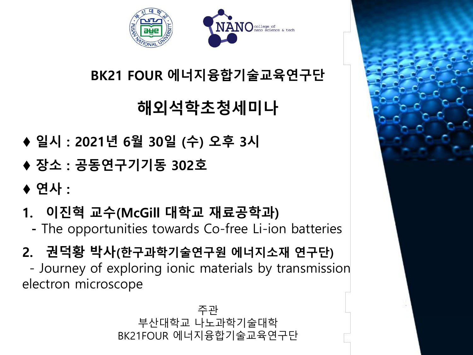

### BK21 FOUR 에너지융합기술교육연구단

# 해외석학초청세미나

- ♦ 일시 : 2021년 6월 30일 (수) 오후 3시
- ♦ 장소 : 공동연구기기동 302호
- ◆ 연사 :
- 1. 이진혁 교수(McGill 대학교 재료공학과)
	- The opportunities towards Co-free Li-ion batteries
- 2. 권덕황 박사(한구과학기술연구원 에너지소재 연구단)

- Journey of exploring ionic materials by transmission electron microscope

> 주관 부산대학교 나노과학기술대학 BK21FOUR 에너지융합기술교육연구단